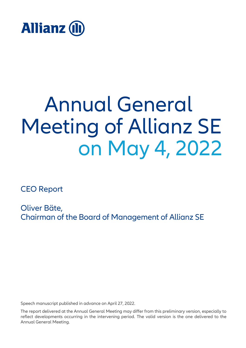

# Annual General Meeting of Allianz SE on May 4, 2022

CEO Report

Oliver Bäte, Chairman of the Board of Management of Allianz SE

Speech manuscript published in advance on April 27, 2022.

The report delivered at the Annual General Meeting may differ from this preliminary version, especially to reflect developments occurring in the intervening period. The valid version is the one delivered to the Annual General Meeting.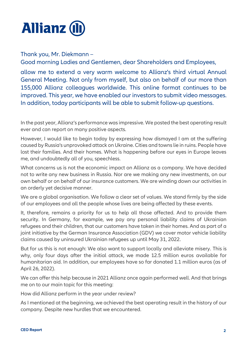

Thank you, Mr. Diekmann –

Good morning Ladies and Gentlemen, dear Shareholders and Employees,

allow me to extend a very warm welcome to Allianz's third virtual Annual General Meeting. Not only from myself, but also on behalf of our more than 155,000 Allianz colleagues worldwide. This online format continues to be improved. This year, we have enabled our investors to submit video messages. In addition, today participants will be able to submit follow-up questions.

In the past year, Allianz's performance was impressive. We posted the best operating result ever and can report on many positive aspects.

However, I would like to begin today by expressing how dismayed I am at the suffering caused by Russia's unprovoked attack on Ukraine. Cities and towns lie in ruins. People have lost their families. And their homes. What is happening before our eyes in Europe leaves me, and undoubtedly all of you, speechless.

What concerns us is not the economic impact on Allianz as a company. We have decided not to write any new business in Russia. Nor are we making any new investments, on our own behalf or on behalf of our insurance customers. We are winding down our activities in an orderly yet decisive manner.

We are a global organisation. We follow a clear set of values. We stand firmly by the side of our employees and all the people whose lives are being affected by these events.

It, therefore, remains a priority for us to help all those affected. And to provide them security. In Germany, for example, we pay any personal liability claims of Ukrainian refugees and their children, that our customers have taken in their homes. And as part of a joint initiative by the German Insurance Association (GDV) we cover motor vehicle liability claims caused by uninsured Ukrainian refugees up until May 31, 2022.

But for us this is not enough: We also want to support locally and alleviate misery. This is why, only four days after the initial attack, we made 12.5 million euros available for humanitarian aid. In addition, our employees have so far donated 1.1 million euros (as of April 26, 2022).

We can offer this help because in 2021 Allianz once again performed well. And that brings me on to our main topic for this meeting:

How did Allianz perform in the year under review?

As I mentioned at the beginning, we achieved the best operating result in the history of our company. Despite new hurdles that we encountered.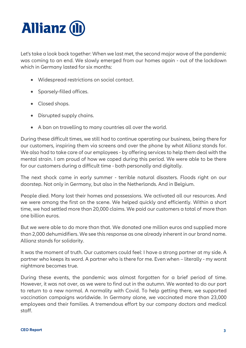

Let's take a look back together: When we last met, the second major wave of the pandemic was coming to an end. We slowly emerged from our homes again - out of the lockdown which in Germany lasted for six months:

- Widespread restrictions on social contact.
- Sparsely-filled offices.
- Closed shops.
- Disrupted supply chains.
- A ban on travelling to many countries all over the world.

During these difficult times, we still had to continue operating our business, being there for our customers, inspiring them via screens and over the phone by what Allianz stands for. We also had to take care of our employees - by offering services to help them deal with the mental strain. I am proud of how we coped during this period. We were able to be there for our customers during a difficult time - both personally and digitally.

The next shock came in early summer - terrible natural disasters. Floods right on our doorstep. Not only in Germany, but also in the Netherlands. And in Belgium.

People died. Many lost their homes and possessions. We activated all our resources. And we were among the first on the scene. We helped quickly and efficiently. Within a short time, we had settled more than 20,000 claims. We paid our customers a total of more than one billion euros.

But we were able to do more than that. We donated one million euros and supplied more than 2,000 dehumidifiers. We see this response as one already inherent in our brand name. Allianz stands for solidarity.

It was the moment of truth. Our customers could feel: I have a strong partner at my side. A partner who keeps its word. A partner who is there for me. Even when – literally - my worst nightmare becomes true.

During these events, the pandemic was almost forgotten for a brief period of time. However, it was not over, as we were to find out in the autumn. We wanted to do our part to return to a new normal. A normality with Covid. To help getting there, we supported vaccination campaigns worldwide. In Germany alone, we vaccinated more than 23,000 employees and their families. A tremendous effort by our company doctors and medical staff.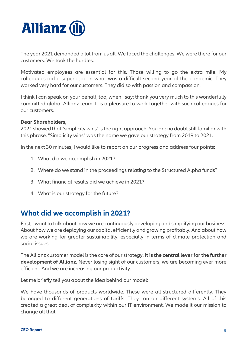

The year 2021 demanded a lot from us all. We faced the challenges. We were there for our customers. We took the hurdles.

Motivated employees are essential for this. Those willing to go the extra mile. My colleagues did a superb job in what was a difficult second year of the pandemic. They worked very hard for our customers. They did so with passion and compassion.

I think I can speak on your behalf, too, when I say: thank you very much to this wonderfully committed global Allianz team! It is a pleasure to work together with such colleagues for our customers.

#### **Dear Shareholders,**

2021 showed that "simplicity wins" is the right approach. You are no doubt still familiar with this phrase. "Simplicity wins" was the name we gave our strategy from 2019 to 2021.

In the next 30 minutes, I would like to report on our progress and address four points:

- 1. What did we accomplish in 2021?
- 2. Where do we stand in the proceedings relating to the Structured Alpha funds?
- 3. What financial results did we achieve in 2021?
- 4. What is our strategy for the future?

#### **What did we accomplish in 2021?**

First, I want to talk about how we are continuously developing and simplifying our business. About how we are deploying our capital efficiently and growing profitably. And about how we are working for greater sustainability, especially in terms of climate protection and social issues.

The Allianz customer model is the core of our strategy. **It is the central lever for the further development of Allianz**. Never losing sight of our customers, we are becoming ever more efficient. And we are increasing our productivity.

Let me briefly tell you about the idea behind our model:

We have thousands of products worldwide. These were all structured differently. They belonged to different generations of tariffs. They ran on different systems. All of this created a great deal of complexity within our IT environment. We made it our mission to change all that.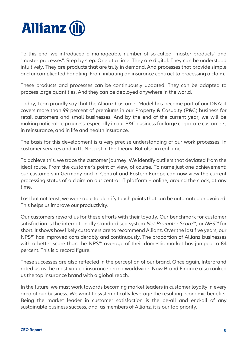

To this end, we introduced a manageable number of so-called "master products" and "master processes". Step by step. One at a time. They are digital. They can be understood intuitively. They are products that are truly in demand. And processes that provide simple and uncomplicated handling. From initiating an insurance contract to processing a claim.

These products and processes can be continuously updated. They can be adapted to process large quantities. And they can be deployed anywhere in the world.

Today, I can proudly say that the Allianz Customer Model has become part of our DNA: it covers more than 99 percent of premiums in our Property & Casualty (P&C) business for retail customers and small businesses. And by the end of the current year, we will be making noticeable progress, especially in our P&C business for large corporate customers, in reinsurance, and in life and health insurance.

The basis for this development is a very precise understanding of our work processes. In customer services and in IT. Not just in the theory. But also in real time.

To achieve this, we trace the customer journey. We identify outliers that deviated from the ideal route. From the customer's point of view, of course. To name just one achievement: our customers in Germany and in Central and Eastern Europe can now view the current processing status of a claim on our central IT platform – online, around the clock, at any time.

Last but not least, we were able to identify touch points that can be automated or avoided. This helps us improve our productivity.

Our customers reward us for these efforts with their loyalty. Our benchmark for customer satisfaction is the internationally standardised system *Net Promoter Score™*, or *NPS™* for short. It shows how likely customers are to recommend Allianz. Over the last five years, our NPS™ has improved considerably and continuously. The proportion of Allianz businesses with a better score than the NPS<sup>™</sup> average of their domestic market has jumped to 84 percent. This is a record figure.

These successes are also reflected in the perception of our brand. Once again, Interbrand rated us as the most valued insurance brand worldwide. Now Brand Finance also ranked us the top insurance brand with a global reach.

In the future, we must work towards becoming market leaders in customer loyalty in every area of our business. We want to systematically leverage the resulting economic benefits. Being the market leader in customer satisfaction is the be-all and end-all of any sustainable business success, and, as members of Allianz, it is our top priority.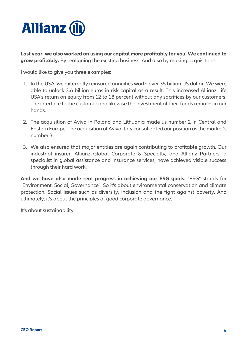

**Last year, we also worked on using our capital more profitably for you. We continued to grow profitably.** By realigning the existing business. And also by making acquisitions.

I would like to give you three examples:

- 1. In the USA, we externally reinsured annuities worth over 35 billion US dollar. We were able to unlock 3.6 billion euros in risk capital as a result. This increased Allianz Life USA's return on equity from 12 to 18 percent without any sacrifices by our customers. The interface to the customer and likewise the investment of their funds remains in our hands.
- 2. The acquisition of Aviva in Poland and Lithuania made us number 2 in Central and Eastern Europe. The acquisition of Aviva Italy consolidated our position as the market's number 3.
- 3. We also ensured that major entities are again contributing to profitable growth. Our industrial insurer, Allianz Global Corporate & Specialty*,* and Allianz Partners, a specialist in global assistance and insurance services, have achieved visible success through their hard work.

**And we have also made real progress in achieving our ESG goals.** "ESG" stands for "Environment, Social, Governance". So it's about environmental conservation and climate protection. Social issues such as diversity, inclusion and the fight against poverty. And ultimately, it's about the principles of good corporate governance.

It's about sustainability.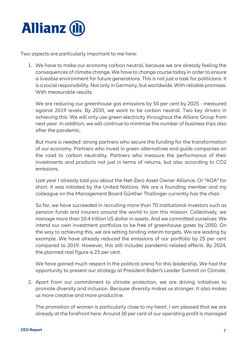

Two aspects are particularly important to me here:

1. We have to make our economy carbon neutral, because we are already feeling the consequences of climate change. We have to change course today in order to ensure a liveable environment for future generations. This is not just a task for politicians. It is a social responsibility. Not only in Germany, but worldwide. With reliable promises. With measurable results.

We are reducing our greenhouse gas emissions by 50 per cent by 2025 - measured against 2019 levels. By 2030, we want to be carbon neutral. Two key drivers in achieving this: We will only use green electricity throughout the Allianz Group from next year. In addition, we will continue to minimise the number of business trips also after the pandemic.

But more is needed: strong partners who secure the funding for the transformation of our economy. Partners who invest in green alternatives and guide companies on the road to carbon neutrality. Partners who measure the performance of their investments and products not just in terms of returns, but also according to CO2 emissions.

Last year I already told you about the Net-Zero Asset Owner Alliance. Or "AOA" for short. It was initiated by the United Nations. We are a founding member and my colleague on the Management Board Günther Thallinger currently has the chair.

So far, we have succeeded in recruiting more than 70 institutional investors such as pension funds and insurers around the world to join this mission. Collectively, we manage more than 10.4 trillion US dollar in assets. And we committed ourselves: We intend our own investment portfolios to be free of greenhouse gases by 2050. On the way to achieving this, we are setting binding interim targets. We are leading by example. We have already reduced the emissions of our portfolio by 25 per cent compared to 2019. However, this still includes pandemic-related effects. By 2024, the planned real figure is 25 per cent.

We have gained much respect in the political arena for this leadership. We had the opportunity to present our strategy at President Biden's Leader Summit on Climate.

2. Apart from our commitment to climate protection, we are driving initiatives to promote diversity and inclusion. Because diversity makes us stronger. It also makes us more creative and more productive.

The promotion of women is particularly close to my heart. I am pleased that we are already at the forefront here: Around 30 per cent of our operating profit is managed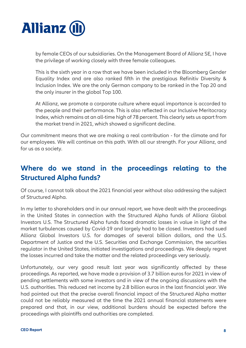

by female CEOs of our subsidiaries. On the Management Board of Allianz SE, I have the privilege of working closely with three female colleagues.

This is the sixth year in a row that we have been included in the Bloomberg Gender Equality Index and are also ranked fifth in the prestigious Refinitiv Diversity & Inclusion Index. We are the only German company to be ranked in the Top 20 and the only insurer in the global Top 100.

At Allianz, we promote a corporate culture where equal importance is accorded to the people and their performance. This is also reflected in our Inclusive Meritocracy Index, which remains at an all-time high of 78 percent. This clearly sets us apart from the market trend in 2021, which showed a significant decline.

Our commitment means that we are making a real contribution - for the climate and for our employees. We will continue on this path. With all our strength. For your Allianz, and for us as a society.

## **Where do we stand in the proceedings relating to the Structured Alpha funds?**

Of course, I cannot talk about the 2021 financial year without also addressing the subject of Structured Alpha.

In my letter to shareholders and in our annual report, we have dealt with the proceedings in the United States in connection with the Structured Alpha funds of Allianz Global Investors U.S. The Structured Alpha funds faced dramatic losses in value in light of the market turbulences caused by Covid-19 and largely had to be closed. Investors had sued Allianz Global Investors U.S. for damages of several billion dollars, and the U.S. Department of Justice and the U.S. Securities and Exchange Commission, the securities regulator in the United States, initiated investigations and proceedings. We deeply regret the losses incurred and take the matter and the related proceedings very seriously.

Unfortunately, our very good result last year was significantly affected by these proceedings. As reported, we have made a provision of 3.7 billion euros for 2021 in view of pending settlements with some investors and in view of the ongoing discussions with the U.S. authorities. This reduced net income by 2.8 billion euros in the last financial year. We had pointed out that the precise overall financial impact of the Structured Alpha matter could not be reliably measured at the time the 2021 annual financial statements were prepared and that, in our view, additional burdens should be expected before the proceedings with plaintiffs and authorities are completed.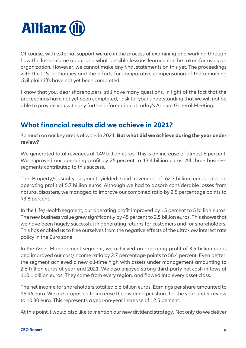

Of course, with external support we are in the process of examining and working through how the losses came about and what possible lessons learned can be taken for us as an organization. However, we cannot make any final statements on this yet. The proceedings with the U.S. authorities and the efforts for comparative compensation of the remaining civil plaintiffs have not yet been completed.

I know that you, dear shareholders, still have many questions. In light of the fact that the proceedings have not yet been completed, I ask for your understanding that we will not be able to provide you with any further information at today's Annual General Meeting.

## **What financial results did we achieve in 2021?**

So much on our key areas of work in 2021. **But what did we achieve during the year under review?**

We generated total revenues of 149 billion euros. This is an increase of almost 6 percent. We improved our operating profit by 25 percent to 13.4 billion euros. All three business segments contributed to this success.

The Property/Casualty segment yielded solid revenues of 62.3 billion euros and an operating profit of 5.7 billion euros. Although we had to absorb considerable losses from natural disasters, we managed to improve our combined ratio by 2.5 percentage points to 93.8 percent.

In the Life/Health segment, our operating profit improved by 15 percent to 5 billion euros. The new business value grew significantly by 45 percent to 2.5 billion euros. This shows that we have been hugely successful in generating returns for customers and for shareholders. This has enabled us to free ourselves from the negative effects of the ultra-low interest rate policy in the Euro zone.

In the Asset Management segment, we achieved an operating profit of 3.5 billion euros and improved our cost/income ratio by 2.7 percentage points to 58.4 percent. Even better: the segment achieved a new all-time high with assets under management amounting to 2.6 trillion euros at year-end 2021. We also enjoyed strong third-party net cash inflows of 110.1 billion euros. They came from every region, and flowed into every asset class.

The net income for shareholders totalled 6.6 billion euros. Earnings per share amounted to 15.96 euro. We are proposing to increase the dividend per share for the year under review to 10.80 euro. This represents a year-on-year increase of 12.5 percent.

At this point, I would also like to mention our new dividend strategy. Not only do we deliver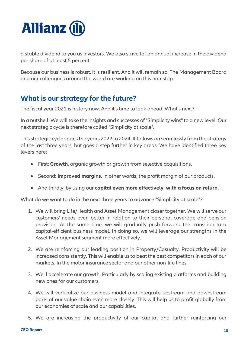

a stable dividend to you as investors. We also strive for an annual increase in the dividend per share of at least 5 percent.

Because our business is robust. It is resilient. And it will remain so. The Management Board and our colleagues around the world are working on this non-stop.

#### **What is our strategy for the future?**

The fiscal year 2021 is history now. And it's time to look ahead. What's next?

In a nutshell: We will take the insights and successes of "Simplicity wins" to a new level. Our next strategic cycle is therefore called "Simplicity at scale".

This strategic cycle spans the years 2022 to 2024. It follows on seamlessly from the strategy of the last three years, but goes a step further in key areas. We have identified three key levers here:

- First: **Growth**, organic growth or growth from selective acquisitions.
- Second: **Improved margins**. In other words, the profit margin of our products.
- And thirdly: by using our **capital even more effectively, with a focus on return**.

What do we want to do in the next three years to advance "Simplicity at scale"?

- 1. We will bring Life/Health and Asset Management closer together. We will serve our customers' needs even better in relation to their personal coverage and pension provision. At the same time, we will gradually push forward the transition to a capital-efficient business model. In doing so, we will leverage our strengths in the Asset Management segment more effectively.
- 2. We are reinforcing our leading position in Property/Casualty. Productivity will be increased consistently. This will enable us to beat the best competitors in each of our markets. In the motor insurance sector and our other non-life lines.
- 3. We'll accelerate our growth. Particularly by scaling existing platforms and building new ones for our customers.
- 4. We will verticalize our business model and integrate upstream and downstream parts of our value chain even more closely. This will help us to profit globally from our economies of scale and our capabilities.
- 5. We are increasing the productivity of our capital and further reinforcing our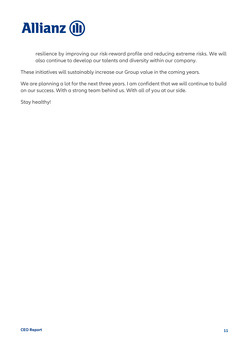

resilience by improving our risk-reward profile and reducing extreme risks. We will also continue to develop our talents and diversity within our company.

These initiatives will sustainably increase our Group value in the coming years.

We are planning a lot for the next three years. I am confident that we will continue to build on our success. With a strong team behind us. With all of you at our side.

Stay healthy!